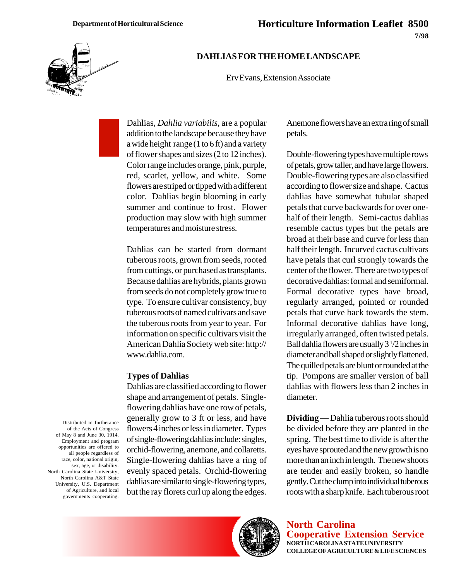

## **DAHLIAS FOR THE HOME LANDSCAPE**

Erv Evans, Extension Associate

Dahlias, *Dahlia variabilis*, are a popular addition to the landscape because they have a wide height range (1 to 6 ft) and a variety of flower shapes and sizes (2 to 12 inches). Color range includes orange, pink, purple, red, scarlet, yellow, and white. Some flowers are striped or tipped with a different color. Dahlias begin blooming in early summer and continue to frost. Flower production may slow with high summer temperatures and moisture stress.

Dahlias can be started from dormant tuberous roots, grown from seeds, rooted from cuttings, or purchased as transplants. Because dahlias are hybrids, plants grown from seeds do not completely grow true to type. To ensure cultivar consistency, buy tuberous roots of named cultivars and save the tuberous roots from year to year. For information on specific cultivars visit the American Dahlia Society web site: http:// www.dahlia.com.

## **Types of Dahlias**

Dahlias are classified according to flower shape and arrangement of petals. Singleflowering dahlias have one row of petals, generally grow to 3 ft or less, and have flowers 4 inches or less in diameter. Types of single-flowering dahlias include: singles, orchid-flowering, anemone, and collaretts. Single-flowering dahlias have a ring of evenly spaced petals. Orchid-flowering dahlias are similar to single-flowering types, but the ray florets curl up along the edges.

Anemone flowers have an extra ring of small petals.

Double-flowering types have multiple rows of petals, grow taller, and have large flowers. Double-flowering types are also classified according to flower size and shape. Cactus dahlias have somewhat tubular shaped petals that curve backwards for over onehalf of their length. Semi-cactus dahlias resemble cactus types but the petals are broad at their base and curve for less than half their length. Incurved cactus cultivars have petals that curl strongly towards the center of the flower. There are two types of decorative dahlias: formal and semiformal. Formal decorative types have broad, regularly arranged, pointed or rounded petals that curve back towards the stem. Informal decorative dahlias have long, irregularly arranged, often twisted petals. Ball dahlia flowers are usually 3<sup>1</sup>/2 inches in diameter and ball shaped or slightly flattened. The quilled petals are blunt or rounded at the tip. Pompons are smaller version of ball dahlias with flowers less than 2 inches in diameter.

**Dividing** — Dahlia tuberous roots should be divided before they are planted in the spring. The best time to divide is after the eyes have sprouted and the new growth is no more than an inch in length. The new shoots are tender and easily broken, so handle gently. Cut the clump into individual tuberous roots with a sharp knife. Each tuberous root

**North Carolina Cooperative Extension Service NORTH CAROLINA STATE UNIVERSITY COLLEGE OF AGRICULTURE & LIFE SCIENCES**

Distributed in furtherance of the Acts of Congress of May 8 and June 30, 1914. Employment and program opportunities are offered to all people regardless of race, color, national origin, sex, age, or disability. North Carolina State University, North Carolina A&T State University, U.S. Department of Agriculture, and local governments cooperating.